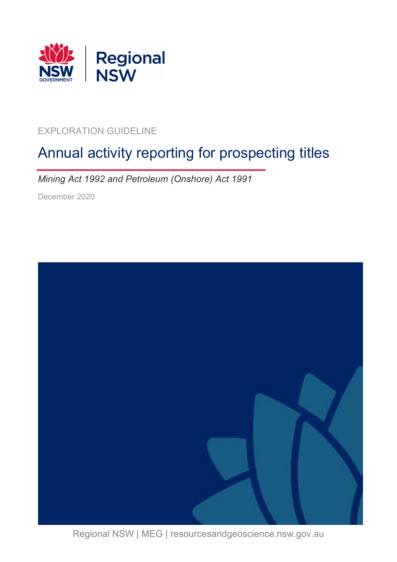

### EXPLORATION GUIDELINE

# Annual activity reporting for prospecting titles

*Mining Act 1992 and Petroleum (Onshore) Act 1991*

December 2020



Regional NSW | MEG | resourcesandgeoscience.nsw.gov.au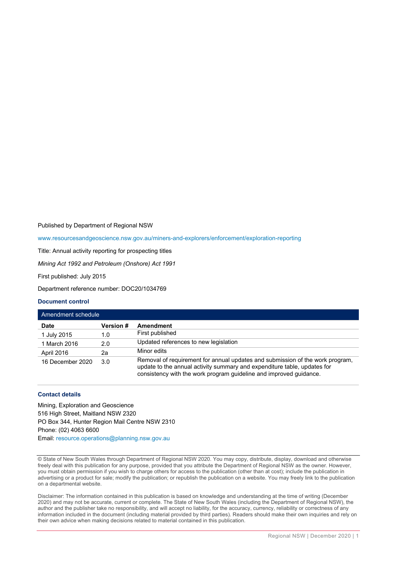Published by Department of Regional NSW

[www.resourcesandgeoscience.nsw.gov.au/miners-and-explorers/enforcement/exploration-reporting](http://www.resourcesandgeoscience.nsw.gov.au/miners-and-explorers/enforcement/exploration-reporting)

Title: Annual activity reporting for prospecting titles

*Mining Act 1992 and Petroleum (Onshore) Act 1991*

First published: July 2015

Department reference number: DOC20/1034769

#### **Document control**

| Amendment schedule |                  |                                                                                                                                                                                                                                 |  |  |
|--------------------|------------------|---------------------------------------------------------------------------------------------------------------------------------------------------------------------------------------------------------------------------------|--|--|
| <b>Date</b>        | <b>Version</b> # | Amendment                                                                                                                                                                                                                       |  |  |
| 1 July 2015        | 1.0              | First published                                                                                                                                                                                                                 |  |  |
| 1 March 2016       | 2.0              | Updated references to new legislation                                                                                                                                                                                           |  |  |
| April 2016         | 2a               | Minor edits                                                                                                                                                                                                                     |  |  |
| 16 December 2020   | 3.0              | Removal of requirement for annual updates and submission of the work program,<br>update to the annual activity summary and expenditure table, updates for<br>consistency with the work program guideline and improved guidance. |  |  |

#### **Contact details**

Mining, Exploration and Geoscience 516 High Street, Maitland NSW 2320 PO Box 344, Hunter Region Mail Centre NSW 2310 Phone: (02) 4063 6600 Email: [resource.operations@planning.nsw.gov.au](mailto:resource.operations@planning.nsw.gov.au)

© State of New South Wales through Department of Regional NSW 2020. You may copy, distribute, display, download and otherwise freely deal with this publication for any purpose, provided that you attribute the Department of Regional NSW as the owner. However, you must obtain permission if you wish to charge others for access to the publication (other than at cost); include the publication in advertising or a product for sale; modify the publication; or republish the publication on a website. You may freely link to the publication on a departmental website.

Disclaimer: The information contained in this publication is based on knowledge and understanding at the time of writing (December 2020) and may not be accurate, current or complete. The State of New South Wales (including the Department of Regional NSW), the author and the publisher take no responsibility, and will accept no liability, for the accuracy, currency, reliability or correctness of any information included in the document (including material provided by third parties). Readers should make their own inquiries and rely on their own advice when making decisions related to material contained in this publication.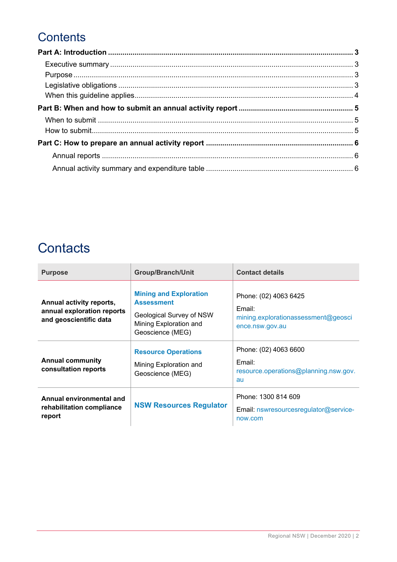## **Contents**

## **Contacts**

| <b>Purpose</b>                                                                   | <b>Group/Branch/Unit</b>                                                                                                     | <b>Contact details</b>                                                                    |
|----------------------------------------------------------------------------------|------------------------------------------------------------------------------------------------------------------------------|-------------------------------------------------------------------------------------------|
| Annual activity reports,<br>annual exploration reports<br>and geoscientific data | <b>Mining and Exploration</b><br><b>Assessment</b><br>Geological Survey of NSW<br>Mining Exploration and<br>Geoscience (MEG) | Phone: (02) 4063 6425<br>Email:<br>mining.explorationassessment@geosci<br>ence.nsw.gov.au |
| <b>Annual community</b><br>consultation reports                                  | <b>Resource Operations</b><br>Mining Exploration and<br>Geoscience (MEG)                                                     | Phone: (02) 4063 6600<br>Email:<br>resource.operations@planning.nsw.gov.<br>au            |
| Annual environmental and<br>rehabilitation compliance<br>report                  | <b>NSW Resources Regulator</b>                                                                                               | Phone: 1300 814 609<br>Email: nswresourcesregulator@service-<br>now.com                   |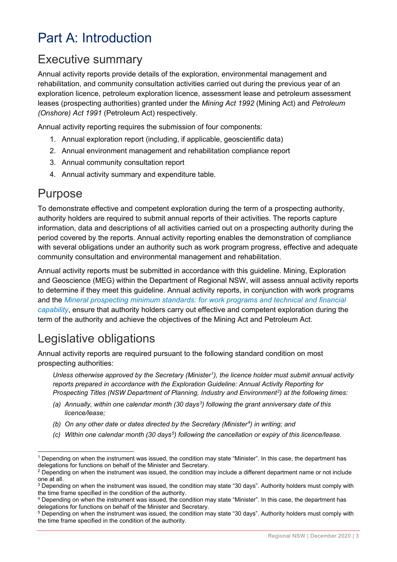# <span id="page-3-0"></span>Part A: Introduction

### <span id="page-3-1"></span>Executive summary

Annual activity reports provide details of the exploration, environmental management and rehabilitation, and community consultation activities carried out during the previous year of an exploration licence, petroleum exploration licence, assessment lease and petroleum assessment leases (prospecting authorities) granted under the *Mining Act 1992* (Mining Act) and *Petroleum (Onshore) Act 1991* (Petroleum Act) respectively.

Annual activity reporting requires the submission of four components:

- 1. Annual exploration report (including, if applicable, geoscientific data)
- 2. Annual environment management and rehabilitation compliance report
- 3. Annual community consultation report
- 4. Annual activity summary and expenditure table.

### <span id="page-3-2"></span>Purpose

To demonstrate effective and competent exploration during the term of a prospecting authority, authority holders are required to submit annual reports of their activities. The reports capture information, data and descriptions of all activities carried out on a prospecting authority during the period covered by the reports. Annual activity reporting enables the demonstration of compliance with several obligations under an authority such as work program progress, effective and adequate community consultation and environmental management and rehabilitation.

Annual activity reports must be submitted in accordance with this guideline. Mining, Exploration and Geoscience (MEG) within the Department of Regional NSW, will assess annual activity reports to determine if they meet this guideline. Annual activity reports, in conjunction with work programs and the *Mineral prospecting [minimum standards: for work programs and technical and financial](https://www.regional.nsw.gov.au/minimum-standards-2020)  [capability](https://www.regional.nsw.gov.au/minimum-standards-2020)*, ensure that authority holders carry out effective and competent exploration during the term of the authority and achieve the objectives of the Mining Act and Petroleum Act.

### <span id="page-3-3"></span>Legislative obligations

Annual activity reports are required pursuant to the following standard condition on most prospecting authorities:

*Unless otherwise approved by the Secretary (Minister[1](#page-3-4)), the licence holder must submit annual activity reports prepared in accordance with the Exploration Guideline: Annual Activity Reporting for Prospecting Titles (NSW Department of Planning, Industry and Environment[2](#page-3-5)) at the following times:* 

- *(a) Annually, within one calendar month (30 days[3\)](#page-3-6) following the grant anniversary date of this licence/lease;*
- *(b) On any other date or dates directed by the Secretary (Minister[4](#page-3-7)) in writing; and*
- *(c) Within one calendar month (30 days[5](#page-3-8)) following the cancellation or expiry of this licence/lease.*

<span id="page-3-4"></span> $1$  Depending on when the instrument was issued, the condition may state "Minister". In this case, the department has delegations for functions on behalf of the Minister and Secretary.

<span id="page-3-5"></span> $2$  Depending on when the instrument was issued, the condition may include a different department name or not include one at all.<br><sup>3</sup> Depending on when the instrument was issued, the condition may state "30 days". Authority holders must comply with

<span id="page-3-6"></span>the time frame specified in the condition of the authority.

<span id="page-3-7"></span><sup>4</sup> Depending on when the instrument was issued, the condition may state "Minister". In this case, the department has delegations for functions on behalf of the Minister and Secretary.

<span id="page-3-8"></span><sup>5</sup> Depending on when the instrument was issued, the condition may state "30 days". Authority holders must comply with the time frame specified in the condition of the authority.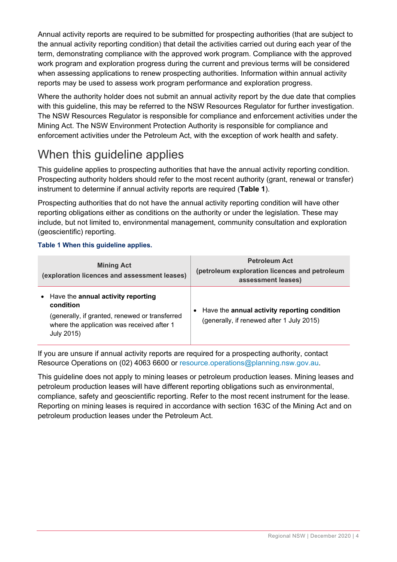Annual activity reports are required to be submitted for prospecting authorities (that are subject to the annual activity reporting condition) that detail the activities carried out during each year of the term, demonstrating compliance with the approved work program. Compliance with the approved work program and exploration progress during the current and previous terms will be considered when assessing applications to renew prospecting authorities. Information within annual activity reports may be used to assess work program performance and exploration progress.

Where the authority holder does not submit an annual activity report by the due date that complies with this quideline, this may be referred to the NSW Resources Regulator for further investigation. The NSW Resources Regulator is responsible for compliance and enforcement activities under the Mining Act. The NSW Environment Protection Authority is responsible for compliance and enforcement activities under the Petroleum Act, with the exception of work health and safety.

## <span id="page-4-0"></span>When this guideline applies

This guideline applies to prospecting authorities that have the annual activity reporting condition. Prospecting authority holders should refer to the most recent authority (grant, renewal or transfer) instrument to determine if annual activity reports are required (**Table 1**).

Prospecting authorities that do not have the annual activity reporting condition will have other reporting obligations either as conditions on the authority or under the legislation. These may include, but not limited to, environmental management, community consultation and exploration (geoscientific) reporting.

#### **Table 1 When this guideline applies.**

| <b>Mining Act</b><br>(exploration licences and assessment leases)                                                                                             | <b>Petroleum Act</b><br>(petroleum exploration licences and petroleum<br>assessment leases) |
|---------------------------------------------------------------------------------------------------------------------------------------------------------------|---------------------------------------------------------------------------------------------|
| Have the annual activity reporting<br>condition<br>(generally, if granted, renewed or transferred<br>where the application was received after 1<br>July 2015) | • Have the annual activity reporting condition<br>(generally, if renewed after 1 July 2015) |

If you are unsure if annual activity reports are required for a prospecting authority, contact Resource Operations on (02) 4063 6600 or [resource.operations@planning.nsw.gov.au.](mailto:resource.operations@planning.nsw.gov.au)

This guideline does not apply to mining leases or petroleum production leases. Mining leases and petroleum production leases will have different reporting obligations such as environmental, compliance, safety and geoscientific reporting. Refer to the most recent instrument for the lease. Reporting on mining leases is required in accordance with section 163C of the Mining Act and on petroleum production leases under the Petroleum Act.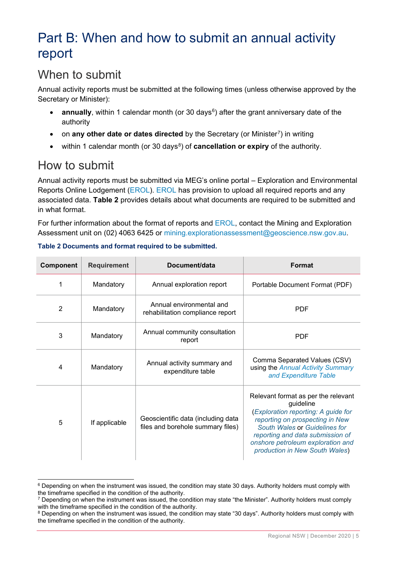## <span id="page-5-0"></span>Part B: When and how to submit an annual activity report

## <span id="page-5-1"></span>When to submit

Annual activity reports must be submitted at the following times (unless otherwise approved by the Secretary or Minister):

- **annually**, within 1 calendar month (or 30 days<sup>[6](#page-5-3)</sup>) after the grant anniversary date of the authority
- on **any other date or dates directed** by the Secretary (or Minister[7](#page-5-4)) in writing
- within 1 calendar month (or 30 days<sup>[8](#page-5-5)</sup>) of **cancellation or expiry** of the authority.

### <span id="page-5-2"></span>How to submit

 $\mathbf{L}$ 

Annual activity reports must be submitted via MEG's online portal – Exploration and Environmental Reports Online Lodgement [\(EROL\)](https://www.resourcesandgeoscience.nsw.gov.au/miners-and-explorers/geoscience-information/services/online-services/erol). [EROL](https://www.resourcesandgeoscience.nsw.gov.au/miners-and-explorers/geoscience-information/services/online-services/erol) has provision to upload all required reports and any associated data. **Table 2** provides details about what documents are required to be submitted and in what format.

For further information about the format of reports and [EROL,](https://www.resourcesandgeoscience.nsw.gov.au/miners-and-explorers/geoscience-information/services/online-services/erol) contact the Mining and Exploration Assessment unit on (02) 4063 6425 or [mining.explorationassessment@geoscience.nsw.gov.au.](mailto:mining.explorationassessment@geoscience.nsw.gov.au)

| Component | <b>Requirement</b> | Document/data                                                           | <b>Format</b>                                                                                                                                                                                                                                                          |
|-----------|--------------------|-------------------------------------------------------------------------|------------------------------------------------------------------------------------------------------------------------------------------------------------------------------------------------------------------------------------------------------------------------|
| 1         | Mandatory          | Annual exploration report                                               | Portable Document Format (PDF)                                                                                                                                                                                                                                         |
| 2         | Mandatory          | Annual environmental and<br>rehabilitation compliance report            | <b>PDF</b>                                                                                                                                                                                                                                                             |
| 3         | Mandatory          | Annual community consultation<br>report                                 | <b>PDF</b>                                                                                                                                                                                                                                                             |
| 4         | Mandatory          | Annual activity summary and<br>expenditure table                        | Comma Separated Values (CSV)<br>using the Annual Activity Summary<br>and Expenditure Table                                                                                                                                                                             |
| 5         | If applicable      | Geoscientific data (including data<br>files and borehole summary files) | Relevant format as per the relevant<br>guideline<br>(Exploration reporting: A guide for<br>reporting on prospecting in New<br>South Wales or Guidelines for<br>reporting and data submission of<br>onshore petroleum exploration and<br>production in New South Wales) |

#### **Table 2 Documents and format required to be submitted.**

<span id="page-5-3"></span><sup>&</sup>lt;sup>6</sup> Depending on when the instrument was issued, the condition may state 30 days. Authority holders must comply with the timeframe specified in the condition of the authority.

<span id="page-5-4"></span><sup>&</sup>lt;sup>7</sup> Depending on when the instrument was issued, the condition may state "the Minister". Authority holders must comply with the timeframe specified in the condition of the authority.

<span id="page-5-5"></span><sup>&</sup>lt;sup>8</sup> Depending on when the instrument was issued, the condition may state "30 days". Authority holders must comply with the timeframe specified in the condition of the authority.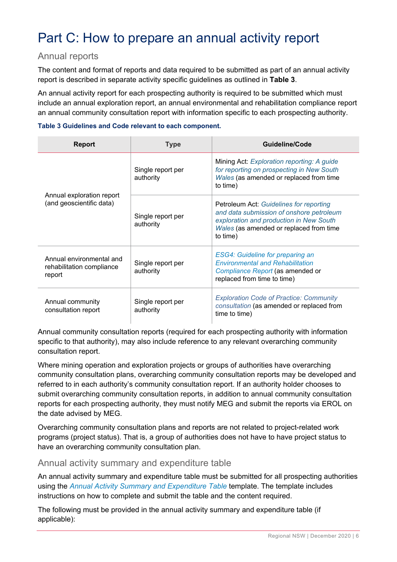# <span id="page-6-0"></span>Part C: How to prepare an annual activity report

#### <span id="page-6-1"></span>Annual reports

The content and format of reports and data required to be submitted as part of an annual activity report is described in separate activity specific guidelines as outlined in **Table 3**.

An annual activity report for each prospecting authority is required to be submitted which must include an annual exploration report, an annual environmental and rehabilitation compliance report an annual community consultation report with information specific to each prospecting authority.

#### **Table 3 Guidelines and Code relevant to each component.**

| <b>Report</b>                                                   | <b>Type</b>                    | Guideline/Code                                                                                                                                                                        |
|-----------------------------------------------------------------|--------------------------------|---------------------------------------------------------------------------------------------------------------------------------------------------------------------------------------|
|                                                                 | Single report per<br>authority | Mining Act: Exploration reporting: A guide<br>for reporting on prospecting in New South<br>Wales (as amended or replaced from time<br>to time)                                        |
| Annual exploration report<br>(and geoscientific data)           | Single report per<br>authority | Petroleum Act: Guidelines for reporting<br>and data submission of onshore petroleum<br>exploration and production in New South<br>Wales (as amended or replaced from time<br>to time) |
| Annual environmental and<br>rehabilitation compliance<br>report | Single report per<br>authority | <b>ESG4: Guideline for preparing an</b><br><b>Environmental and Rehabilitation</b><br>Compliance Report (as amended or<br>replaced from time to time)                                 |
| Annual community<br>consultation report                         | Single report per<br>authority | <b>Exploration Code of Practice: Community</b><br>consultation (as amended or replaced from<br>time to time)                                                                          |

Annual community consultation reports (required for each prospecting authority with information specific to that authority), may also include reference to any relevant overarching community consultation report.

Where mining operation and exploration projects or groups of authorities have overarching community consultation plans, overarching community consultation reports may be developed and referred to in each authority's community consultation report. If an authority holder chooses to submit overarching community consultation reports, in addition to annual community consultation reports for each prospecting authority, they must notify MEG and submit the reports via EROL on the date advised by MEG.

Overarching community consultation plans and reports are not related to project-related work programs (project status). That is, a group of authorities does not have to have project status to have an overarching community consultation plan.

#### <span id="page-6-2"></span>Annual activity summary and expenditure table

An annual activity summary and expenditure table must be submitted for all prospecting authorities using the *[Annual Activity Summary and Expenditure Table](https://www.resourcesandgeoscience.nsw.gov.au/miners-and-explorers/enforcement/exploration-reporting/mineral)* template. The template includes instructions on how to complete and submit the table and the content required.

The following must be provided in the annual activity summary and expenditure table (if applicable):